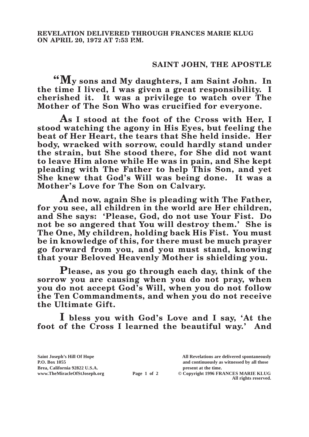## **SAINT JOHN, THE APOSTLE**

**"My sons and My daughters, I am Saint John. In the time I lived, I was given a great responsibility. I cherished it. It was a privilege to watch over The Mother of The Son Who was crucified for everyone.**

**As I stood at the foot of the Cross with Her, I stood watching the agony in His Eyes, but feeling the beat of Her Heart, the tears that She held inside. Her body, wracked with sorrow, could hardly stand under the strain, but She stood there, for She did not want to leave Him alone while He was in pain, and She kept pleading with The Father to help This Son, and yet She knew that God's Will was being done. It was a Mother's Love for The Son on Calvary.**

**And now, again She is pleading with The Father, for you see, all children in the world are Her children, and She says: 'Please, God, do not use Your Fist. Do not be so angered that You will destroy them.' She is The One, My children, holding back His Fist. You must be in knowledge of this, for there must be much prayer go forward from you, and you must stand, knowing that your Beloved Heavenly Mother is shielding you.**

**Please, as you go through each day, think of the sorrow you are causing when you do not pray, when you do not accept God's Will, when you do not follow the Ten Commandments, and when you do not receive the Ultimate Gift.**

**I bless you with God's Love and I say, 'At the foot of the Cross I learned the beautiful way.' And** 

**Brea, California 92822 U.S.A. present at the time.**<br> **Page 1 of 2** © Copyright 1996 FR.

**Saint Joseph's Hill Of Hope All Revelations are delivered spontaneously P.O. Box 1055 and continuously as witnessed by all those** 

**Page 1 of 2** © Copyright 1996 FRANCES MARIE KLUG **All rights reserved.**